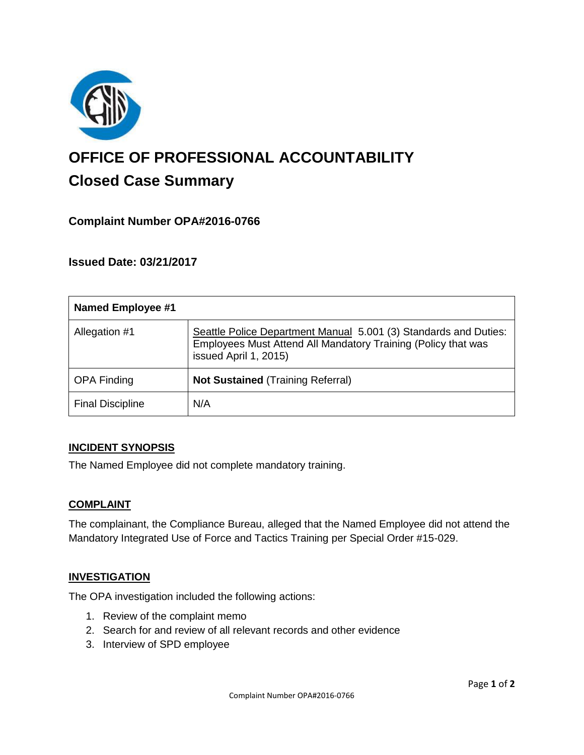

# **OFFICE OF PROFESSIONAL ACCOUNTABILITY Closed Case Summary**

## **Complaint Number OPA#2016-0766**

## **Issued Date: 03/21/2017**

| <b>Named Employee #1</b> |                                                                                                                                                            |
|--------------------------|------------------------------------------------------------------------------------------------------------------------------------------------------------|
| Allegation #1            | Seattle Police Department Manual 5.001 (3) Standards and Duties:<br>Employees Must Attend All Mandatory Training (Policy that was<br>issued April 1, 2015) |
| <b>OPA Finding</b>       | <b>Not Sustained (Training Referral)</b>                                                                                                                   |
| <b>Final Discipline</b>  | N/A                                                                                                                                                        |

#### **INCIDENT SYNOPSIS**

The Named Employee did not complete mandatory training.

#### **COMPLAINT**

The complainant, the Compliance Bureau, alleged that the Named Employee did not attend the Mandatory Integrated Use of Force and Tactics Training per Special Order #15-029.

#### **INVESTIGATION**

The OPA investigation included the following actions:

- 1. Review of the complaint memo
- 2. Search for and review of all relevant records and other evidence
- 3. Interview of SPD employee